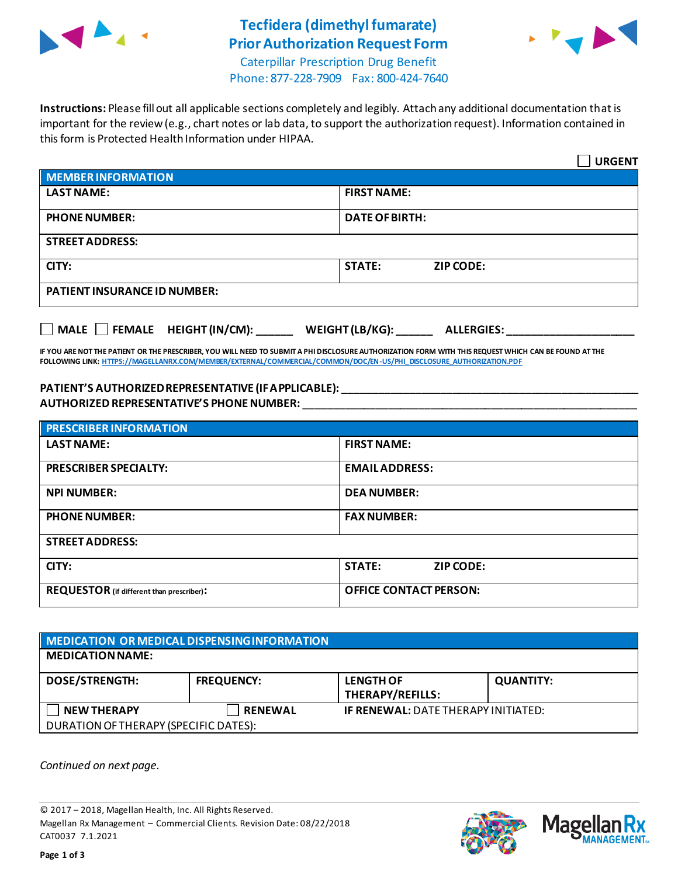

# **Tecfidera (dimethyl fumarate) Prior Authorization Request Form**



Caterpillar Prescription Drug Benefit Phone: 877-228-7909 Fax: 800-424-7640

**Instructions:** Please fill out all applicable sections completely and legibly. Attach any additional documentation that is important for the review (e.g., chart notes or lab data, to support the authorization request). Information contained in this form is Protected Health Information under HIPAA.

|                                                                                   | <b>URGENT</b>                     |  |  |  |
|-----------------------------------------------------------------------------------|-----------------------------------|--|--|--|
| <b>MEMBER INFORMATION</b>                                                         |                                   |  |  |  |
| <b>LAST NAME:</b>                                                                 | <b>FIRST NAME:</b>                |  |  |  |
| <b>PHONE NUMBER:</b>                                                              | <b>DATE OF BIRTH:</b>             |  |  |  |
| <b>STREET ADDRESS:</b>                                                            |                                   |  |  |  |
| CITY:                                                                             | <b>STATE:</b><br><b>ZIP CODE:</b> |  |  |  |
| <b>PATIENT INSURANCE ID NUMBER:</b>                                               |                                   |  |  |  |
| $\Box$ MALE $\Box$ FEMALE HEIGHT (IN/CM):<br>WEIGHT (LB/KG):<br><b>ALLERGIES:</b> |                                   |  |  |  |

**IF YOU ARE NOT THE PATIENT OR THE PRESCRIBER, YOU WILL NEED TO SUBMIT A PHI DISCLOSURE AUTHORIZATION FORM WITH THIS REQUEST WHICH CAN BE FOUND AT THE FOLLOWING LINK[: HTTPS://MAGELLANRX.COM/MEMBER/EXTERNAL/COMMERCIAL/COMMON/DOC/EN-US/PHI\\_DISCLOSURE\\_AUTHORIZATION.PDF](https://magellanrx.com/member/external/commercial/common/doc/en-us/PHI_Disclosure_Authorization.pdf)**

#### **PATIENT'S AUTHORIZED REPRESENTATIVE (IF APPLICABLE): \_\_\_\_\_\_\_\_\_\_\_\_\_\_\_\_\_\_\_\_\_\_\_\_\_\_\_\_\_\_\_\_\_\_\_\_\_\_\_\_\_\_\_\_\_\_\_\_\_ AUTHORIZED REPRESENTATIVE'S PHONE NUMBER:** \_\_\_\_\_\_\_\_\_\_\_\_\_\_\_\_\_\_\_\_\_\_\_\_\_\_\_\_\_\_\_\_\_\_\_\_\_\_\_\_\_\_\_\_\_\_\_\_\_\_\_\_\_\_\_

| <b>PRESCRIBER INFORMATION</b>             |                                   |  |
|-------------------------------------------|-----------------------------------|--|
| <b>LAST NAME:</b>                         | <b>FIRST NAME:</b>                |  |
| <b>PRESCRIBER SPECIALTY:</b>              | <b>EMAIL ADDRESS:</b>             |  |
| <b>NPI NUMBER:</b>                        | <b>DEA NUMBER:</b>                |  |
| <b>PHONE NUMBER:</b>                      | <b>FAX NUMBER:</b>                |  |
| <b>STREET ADDRESS:</b>                    |                                   |  |
| CITY:                                     | <b>STATE:</b><br><b>ZIP CODE:</b> |  |
| REQUESTOR (if different than prescriber): | <b>OFFICE CONTACT PERSON:</b>     |  |

| MEDICATION OR MEDICAL DISPENSING INFORMATION |                   |                                             |                  |  |  |
|----------------------------------------------|-------------------|---------------------------------------------|------------------|--|--|
| <b>MEDICATION NAME:</b>                      |                   |                                             |                  |  |  |
| <b>DOSE/STRENGTH:</b>                        | <b>FREQUENCY:</b> | <b>LENGTH OF</b><br><b>THERAPY/REFILLS:</b> | <b>QUANTITY:</b> |  |  |
| <b>NEW THERAPY</b>                           | <b>RENEWAL</b>    | <b>IF RENEWAL: DATE THERAPY INITIATED:</b>  |                  |  |  |
| DURATION OF THERAPY (SPECIFIC DATES):        |                   |                                             |                  |  |  |

*Continued on next page.*

© 2017 – 2018, Magellan Health, Inc. All Rights Reserved. Magellan Rx Management – Commercial Clients. Revision Date: 08/22/2018 CAT0037 7.1.2021



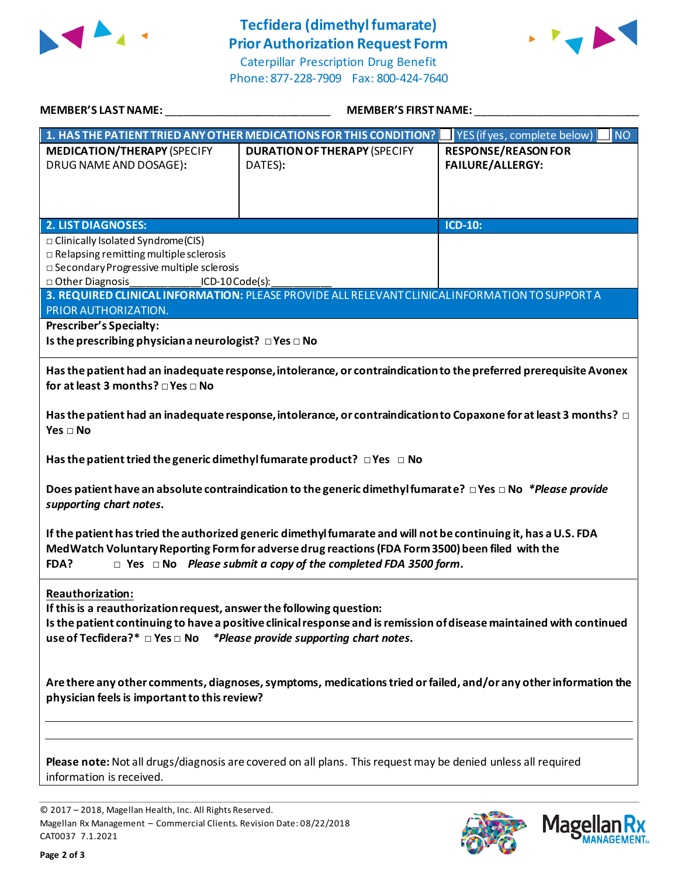

## **Tecfidera (dimethyl fumarate) Prior Authorization Request Form**

Caterpillar Prescription Drug Benefit Phone: 877-228-7909 Fax: 800-424-7640



| <b>MEMBER'S LAST NAME:</b>                                                                                                                                                                                                                                                                               | <b>MEMBER'S FIRST NAME:</b>                                                                     |                                                       |  |  |
|----------------------------------------------------------------------------------------------------------------------------------------------------------------------------------------------------------------------------------------------------------------------------------------------------------|-------------------------------------------------------------------------------------------------|-------------------------------------------------------|--|--|
|                                                                                                                                                                                                                                                                                                          | 1. HAS THE PATIENT TRIED ANY OTHER MEDICATIONS FOR THIS CONDITION?                              | YES (if yes, complete below)<br><b>NO</b>             |  |  |
| <b>MEDICATION/THERAPY (SPECIFY</b><br>DRUG NAME AND DOSAGE):                                                                                                                                                                                                                                             | <b>DURATION OF THERAPY (SPECIFY</b><br>DATES):                                                  | <b>RESPONSE/REASON FOR</b><br><b>FAILURE/ALLERGY:</b> |  |  |
| <b>2. LIST DIAGNOSES:</b>                                                                                                                                                                                                                                                                                |                                                                                                 | $ICD-10$ :                                            |  |  |
| □ Clinically Isolated Syndrome(CIS)<br>$\Box$ Relapsing remitting multiple sclerosis<br>□ Secondary Progressive multiple sclerosis<br>$\Box$ Other Diagnosis<br>ICD-10 Code(s):                                                                                                                          |                                                                                                 |                                                       |  |  |
|                                                                                                                                                                                                                                                                                                          | 3. REQUIRED CLINICAL INFORMATION: PLEASE PROVIDE ALL RELEVANT CLINICAL INFORMATION TO SUPPORT A |                                                       |  |  |
| PRIOR AUTHORIZATION.<br><b>Prescriber's Specialty:</b><br>Is the prescribing physician a neurologist? □ Yes □ No                                                                                                                                                                                         |                                                                                                 |                                                       |  |  |
| Has the patient had an inadequate response, intolerance, or contraindication to the preferred prerequisite Avonex<br>for at least 3 months? □ Yes □ No                                                                                                                                                   |                                                                                                 |                                                       |  |  |
| Has the patient had an inadequate response, intolerance, or contraindication to Copaxone for at least 3 months? $\Box$<br>Yes $\Box$ No                                                                                                                                                                  |                                                                                                 |                                                       |  |  |
| Has the patient tried the generic dimethyl fumarate product? $\Box$ Yes $\Box$ No                                                                                                                                                                                                                        |                                                                                                 |                                                       |  |  |
| Does patient have an absolute contraindication to the generic dimethyl fumarate? $\Box$ Yes $\Box$ No *Please provide<br>supporting chart notes.                                                                                                                                                         |                                                                                                 |                                                       |  |  |
| If the patient has tried the authorized generic dimethyl fumarate and will not be continuing it, has a U.S. FDA<br>MedWatch Voluntary Reporting Form for adverse drug reactions (FDA Form 3500) been filed with the<br>$\Box$ Yes $\Box$ No Please submit a copy of the completed FDA 3500 form.<br>FDA? |                                                                                                 |                                                       |  |  |
| Reauthorization:<br>If this is a reauthorization request, answer the following question:<br>Is the patient continuing to have a positive clinical response and is remission of disease maintained with continued<br>use of Tecfidera?* $\Box$ Yes $\Box$ No *Please provide supporting chart notes.      |                                                                                                 |                                                       |  |  |
| Are there any other comments, diagnoses, symptoms, medications tried or failed, and/or any other information the<br>physician feels is important to this review?                                                                                                                                         |                                                                                                 |                                                       |  |  |
| Please note: Not all drugs/diagnosis are covered on all plans. This request may be denied unless all required                                                                                                                                                                                            |                                                                                                 |                                                       |  |  |

information is received.

© 2017 – 2018, Magellan Health, Inc. All Rights Reserved. Magellan Rx Management – Commercial Clients. Revision Date: 08/22/2018 CAT0037 7.1.2021